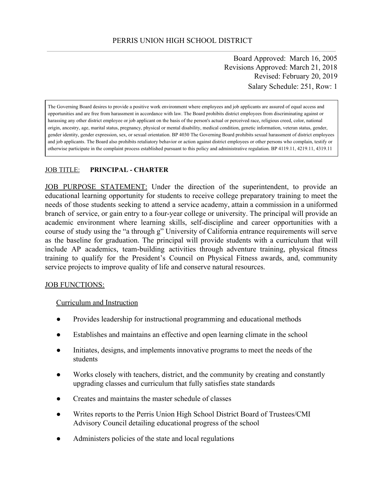Board Approved: March 16, 2005 Revisions Approved: March 21, 2018 Revised: February 20, 2019 Salary Schedule: 251, Row: 1

The Governing Board desires to provide a positive work environment where employees and job applicants are assured of equal access and opportunities and are free from harassment in accordance with law. The Board prohibits district employees from discriminating against or harassing any other district employee or job applicant on the basis of the person's actual or perceived race, religious creed, color, national origin, ancestry, age, marital status, pregnancy, physical or mental disability, medical condition, genetic information, veteran status, gender, gender identity, gender expression, sex, or sexual orientation. BP 4030 The Governing Board prohibits sexual harassment of district employees and job applicants. The Board also prohibits retaliatory behavior or action against district employees or other persons who complain, testify or otherwise participate in the complaint process established pursuant to this policy and administrative regulation. BP 4119.11, 4219.11, 4319.11

#### JOB TITLE: **PRINCIPAL - CHARTER**

JOB PURPOSE STATEMENT: Under the direction of the superintendent, to provide an educational learning opportunity for students to receive college preparatory training to meet the needs of those students seeking to attend a service academy, attain a commission in a uniformed branch of service, or gain entry to a four-year college or university. The principal will provide an academic environment where learning skills, self-discipline and career opportunities with a course of study using the "a through g" University of California entrance requirements will serve as the baseline for graduation. The principal will provide students with a curriculum that will include AP academics, team-building activities through adventure training, physical fitness training to qualify for the President's Council on Physical Fitness awards, and, community service projects to improve quality of life and conserve natural resources.

#### JOB FUNCTIONS:

#### Curriculum and Instruction

- Provides leadership for instructional programming and educational methods
- Establishes and maintains an effective and open learning climate in the school
- Initiates, designs, and implements innovative programs to meet the needs of the students
- Works closely with teachers, district, and the community by creating and constantly upgrading classes and curriculum that fully satisfies state standards
- Creates and maintains the master schedule of classes
- Writes reports to the Perris Union High School District Board of Trustees/CMI Advisory Council detailing educational progress of the school
- Administers policies of the state and local regulations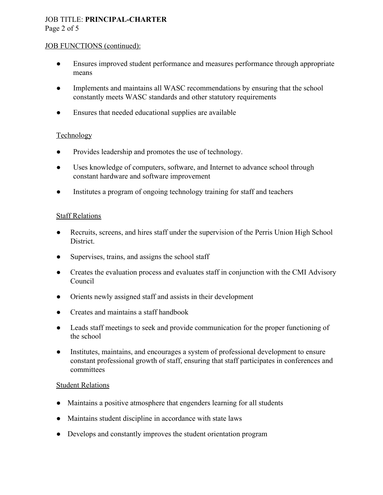## JOB TITLE: **PRINCIPAL-CHARTER** Page 2 of 5

#### JOB FUNCTIONS (continued):

- Ensures improved student performance and measures performance through appropriate means
- Implements and maintains all WASC recommendations by ensuring that the school constantly meets WASC standards and other statutory requirements
- Ensures that needed educational supplies are available

## Technology

- **●** Provides leadership and promotes the use of technology.
- Uses knowledge of computers, software, and Internet to advance school through constant hardware and software improvement
- Institutes a program of ongoing technology training for staff and teachers

## Staff Relations

- Recruits, screens, and hires staff under the supervision of the Perris Union High School District.
- Supervises, trains, and assigns the school staff
- Creates the evaluation process and evaluates staff in conjunction with the CMI Advisory Council
- Orients newly assigned staff and assists in their development
- Creates and maintains a staff handbook
- Leads staff meetings to seek and provide communication for the proper functioning of the school
- Institutes, maintains, and encourages a system of professional development to ensure constant professional growth of staff, ensuring that staff participates in conferences and committees

## Student Relations

- Maintains a positive atmosphere that engenders learning for all students
- Maintains student discipline in accordance with state laws
- Develops and constantly improves the student orientation program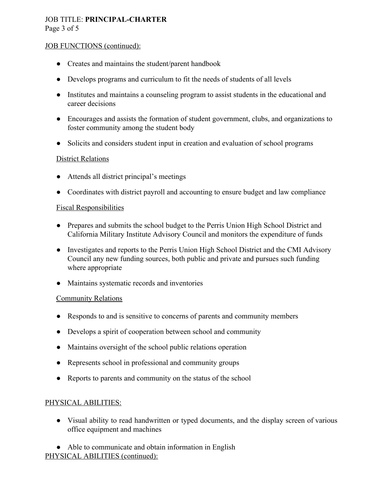## JOB TITLE: **PRINCIPAL-CHARTER** Page 3 of 5

#### JOB FUNCTIONS (continued):

- Creates and maintains the student/parent handbook
- Develops programs and curriculum to fit the needs of students of all levels
- Institutes and maintains a counseling program to assist students in the educational and career decisions
- Encourages and assists the formation of student government, clubs, and organizations to foster community among the student body
- Solicits and considers student input in creation and evaluation of school programs

#### District Relations

- Attends all district principal's meetings
- Coordinates with district payroll and accounting to ensure budget and law compliance

#### Fiscal Responsibilities

- Prepares and submits the school budget to the Perris Union High School District and California Military Institute Advisory Council and monitors the expenditure of funds
- Investigates and reports to the Perris Union High School District and the CMI Advisory Council any new funding sources, both public and private and pursues such funding where appropriate
- Maintains systematic records and inventories

## Community Relations

- Responds to and is sensitive to concerns of parents and community members
- Develops a spirit of cooperation between school and community
- Maintains oversight of the school public relations operation
- Represents school in professional and community groups
- Reports to parents and community on the status of the school

## PHYSICAL ABILITIES:

- Visual ability to read handwritten or typed documents, and the display screen of various office equipment and machines
- Able to communicate and obtain information in English PHYSICAL ABILITIES (continued):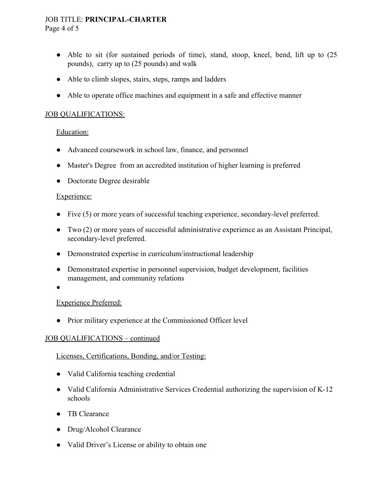#### JOB TITLE: **PRINCIPAL-CHARTER** Page 4 of 5

- Able to sit (for sustained periods of time), stand, stoop, kneel, bend, lift up to  $(25)$ pounds), carry up to (25 pounds) and walk
- Able to climb slopes, stairs, steps, ramps and ladders
- Able to operate office machines and equipment in a safe and effective manner

#### JOB QUALIFICATIONS:

#### Education:

- Advanced coursework in school law, finance, and personnel
- Master's Degree from an accredited institution of higher learning is preferred
- Doctorate Degree desirable

#### Experience:

- Five (5) or more years of successful teaching experience, secondary-level preferred.
- Two (2) or more years of successful administrative experience as an Assistant Principal, secondary-level preferred.
- Demonstrated expertise in curriculum/instructional leadership
- Demonstrated expertise in personnel supervision, budget development, facilities management, and community relations
- ●

## Experience Preferred:

• Prior military experience at the Commissioned Officer level

## JOB QUALIFICATIONS – continued

## Licenses, Certifications, Bonding, and/or Testing:

- Valid California teaching credential
- Valid California Administrative Services Credential authorizing the supervision of K-12 schools
- TB Clearance
- Drug/Alcohol Clearance
- Valid Driver's License or ability to obtain one